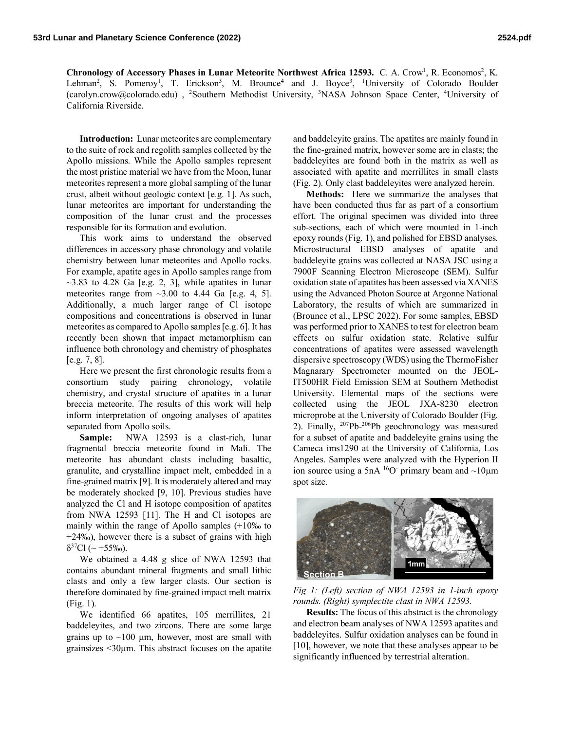Chronology of Accessory Phases in Lunar Meteorite Northwest Africa 12593. C. A. Crow<sup>1</sup>, R. Economos<sup>2</sup>, K. Lehman<sup>2</sup>, S. Pomeroy<sup>1</sup>, T. Erickson<sup>3</sup>, M. Brounce<sup>4</sup> and J. Boyce<sup>3</sup>, <sup>1</sup>University of Colorado Boulder (carolyn.crow@colorado.edu), <sup>2</sup>Southern Methodist University, <sup>3</sup>NASA Johnson Space Center, <sup>4</sup>University of California Riverside.

**Introduction:** Lunar meteorites are complementary to the suite of rock and regolith samples collected by the Apollo missions. While the Apollo samples represent the most pristine material we have from the Moon, lunar meteorites represent a more global sampling of the lunar crust, albeit without geologic context [e.g. 1]. As such, lunar meteorites are important for understanding the composition of the lunar crust and the processes responsible for its formation and evolution.

This work aims to understand the observed differences in accessory phase chronology and volatile chemistry between lunar meteorites and Apollo rocks. For example, apatite ages in Apollo samples range from  $\sim$ 3.83 to 4.28 Ga [e.g. 2, 3], while apatites in lunar meteorites range from  $\sim$ 3.00 to 4.44 Ga [e.g. 4, 5]. Additionally, a much larger range of Cl isotope compositions and concentrations is observed in lunar meteorites as compared to Apollo samples [e.g. 6]. It has recently been shown that impact metamorphism can influence both chronology and chemistry of phosphates [e.g. 7, 8].

Here we present the first chronologic results from a consortium study pairing chronology, volatile chemistry, and crystal structure of apatites in a lunar breccia meteorite. The results of this work will help inform interpretation of ongoing analyses of apatites separated from Apollo soils.

**Sample:** NWA 12593 is a clast-rich, lunar fragmental breccia meteorite found in Mali. The meteorite has abundant clasts including basaltic, granulite, and crystalline impact melt, embedded in a fine-grained matrix [9]. It is moderately altered and may be moderately shocked [9, 10]. Previous studies have analyzed the Cl and H isotope composition of apatites from NWA 12593 [11]. The H and Cl isotopes are mainly within the range of Apollo samples (+10‰ to +24‰), however there is a subset of grains with high  $\delta^{37}Cl$  (~ +55‰).

We obtained a 4.48 g slice of NWA 12593 that contains abundant mineral fragments and small lithic clasts and only a few larger clasts. Our section is therefore dominated by fine-grained impact melt matrix (Fig. 1).

We identified 66 apatites, 105 merrillites, 21 baddeleyites, and two zircons. There are some large grains up to  $\sim$ 100 µm, however, most are small with grainsizes  $\leq 30 \mu m$ . This abstract focuses on the apatite and baddeleyite grains. The apatites are mainly found in the fine-grained matrix, however some are in clasts; the baddeleyites are found both in the matrix as well as associated with apatite and merrillites in small clasts (Fig. 2). Only clast baddeleyites were analyzed herein.

**Methods:** Here we summarize the analyses that have been conducted thus far as part of a consortium effort. The original specimen was divided into three sub-sections, each of which were mounted in 1-inch epoxy rounds (Fig. 1), and polished for EBSD analyses. Microstructural EBSD analyses of apatite and baddeleyite grains was collected at NASA JSC using a 7900F Scanning Electron Microscope (SEM). Sulfur oxidation state of apatites has been assessed via XANES using the Advanced Photon Source at Argonne National Laboratory, the results of which are summarized in (Brounce et al., LPSC 2022). For some samples, EBSD was performed prior to XANES to test for electron beam effects on sulfur oxidation state. Relative sulfur concentrations of apatites were assessed wavelength dispersive spectroscopy (WDS) using the ThermoFisher Magnarary Spectrometer mounted on the JEOL-IT500HR Field Emission SEM at Southern Methodist University. Elemental maps of the sections were collected using the JEOL JXA-8230 electron microprobe at the University of Colorado Boulder (Fig. 2). Finally, <sup>207</sup>Pb-<sup>206</sup>Pb geochronology was measured for a subset of apatite and baddeleyite grains using the Cameca ims1290 at the University of California, Los Angeles. Samples were analyzed with the Hyperion II ion source using a 5nA  ${}^{16}O$  primary beam and  $\sim$ 10 $\mu$ m spot size.



*Fig 1: (Left) section of NWA 12593 in 1-inch epoxy rounds. (Right) symplectite clast in NWA 12593.*

**Results:** The focus of this abstract is the chronology and electron beam analyses of NWA 12593 apatites and baddeleyites. Sulfur oxidation analyses can be found in [10], however, we note that these analyses appear to be significantly influenced by terrestrial alteration.